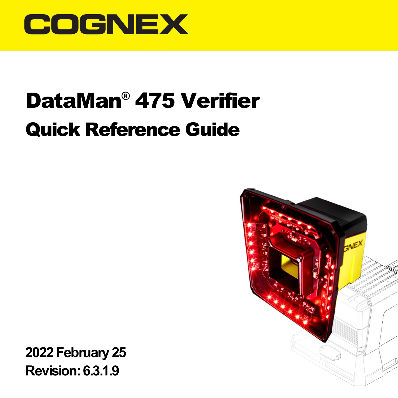

# DataMan® 475 Verifier Quick Reference Guide



**2022February25 Revision:6.3.1.9**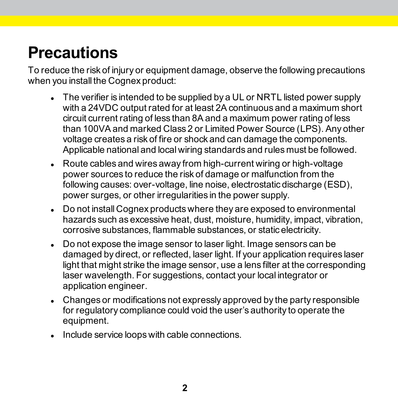## **Precautions**

To reduce the risk of injury or equipment damage, observe the following precautions when you install the Cognex product:

- The verifier is intended to be supplied by a UL or NRTL listed power supply with a 24VDC output rated for at least 2A continuous and a maximum short circuit current rating of less than 8A and a maximum power rating of less than 100VA and marked Class 2 or Limited Power Source (LPS). Any other voltage creates a risk of fire or shock and can damage the components. Applicable national and local wiring standards and rules must be followed.
- $\bullet$  Route cables and wires away from high-current wiring or high-voltage power sources to reduce the risk of damage or malfunction from the following causes: over-voltage, line noise, electrostatic discharge (ESD), power surges, or other irregularities in the power supply.
- Do not install Cognex products where they are exposed to environmental hazards such as excessive heat, dust, moisture, humidity, impact, vibration, corrosive substances, flammable substances, or static electricity.
- Do not expose the image sensor to laser light. Image sensors can be damaged by direct, or reflected, laser light. If your application requires laser light that might strike the image sensor, use a lens filter at the corresponding laser wavelength. For suggestions, contact your local integrator or application engineer.
- Changes or modifications not expressly approved by the party responsible for regulatory compliance could void the user's authority to operate the equipment.
- <sup>l</sup> Include service loops with cable connections.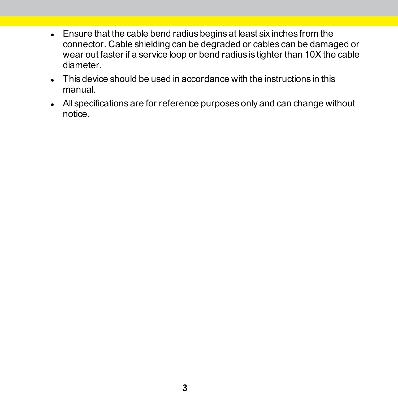- **Ensure that the cable bend radius begins at least six inches from the** connector. Cable shielding can be degraded or cables can be damaged or wear out faster if a service loop or bend radius is tighter than 10X the cable diameter.
- This device should be used in accordance with the instructions in this manual.
- All specifications are for reference purposes only and can change without notice.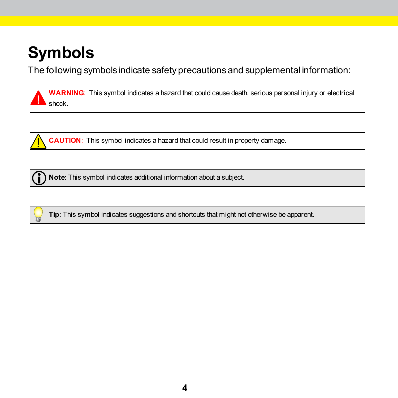# **Symbols**

The following symbols indicate safety precautions and supplemental information:

**WARNING**: This symbol indicates a hazard that could cause death, serious personal injury or electrical shock.



**CAUTION**: This symbol indicates a hazard that could result in property damage.

**Note**: This symbol indicates additional information about a subject.



**Tip**: This symbol indicates suggestions and shortcuts that might not otherwise be apparent.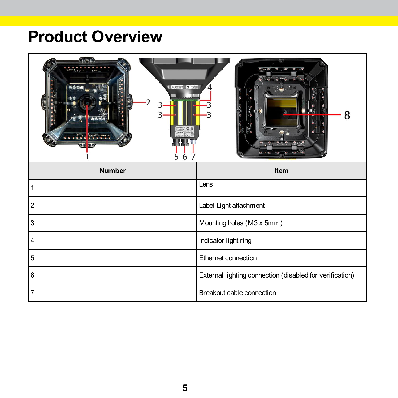### **Product Overview**

| <b>Went River</b><br>n a Pa <mark>l</mark> esses<br>Ŝ.<br>6 | 8                                                        |
|-------------------------------------------------------------|----------------------------------------------------------|
| Number                                                      | Item                                                     |
|                                                             | Lens                                                     |
| $\overline{2}$                                              | Label Light attachment                                   |
| 3                                                           | Mounting holes (M3 x 5mm)                                |
| 4                                                           | Indicator light ring                                     |
| 5                                                           | Ethernet connection                                      |
| 6                                                           | External lighting connection (disabled for verification) |
| 7                                                           | Breakout cable connection                                |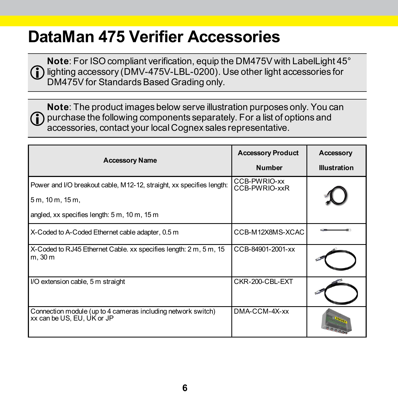### **DataMan 475 Verifier Accessories**

**Note**: For ISO compliant verification, equip the DM475V with LabelLight 45°  $\binom{1}{1}$  lighting accessory (DMV-475V-LBL-0200). Use other light accessories for DM475V for Standards Based Grading only.

**Note**: The product images below serve illustration purposes only. You can  $\bigcap$  purchase the following components separately. For a list of options and accessories, contact your local Cognex sales representative.

| <b>Accessory Name</b>                                                                      | <b>Accessory Product</b>      | Accessory           |
|--------------------------------------------------------------------------------------------|-------------------------------|---------------------|
|                                                                                            | <b>Number</b>                 | <b>Illustration</b> |
| Power and I/O breakout cable, M12-12, straight, xx specifies length:                       | CCB-PWRIO-xx<br>CCB-PWRIO-xxR |                     |
| 5 m, 10 m, 15 m,                                                                           |                               |                     |
| angled, xx specifies length: 5 m, 10 m, 15 m                                               |                               |                     |
| X-Coded to A-Coded Ethernet cable adapter, 0.5 m                                           | CCB-M12X8MS-XCAC              |                     |
| X-Coded to RJ45 Ethernet Cable. xx specifies length: 2 m, 5 m, 15<br>m, 30 m               | CCB-84901-2001-xx             |                     |
| I/O extension cable, 5 m straight                                                          | CKR-200-CBL-EXT               |                     |
| Connection module (up to 4 cameras including network switch)<br>xx can be US, EU, UK or JP | DMA-CCM-4X-xx                 |                     |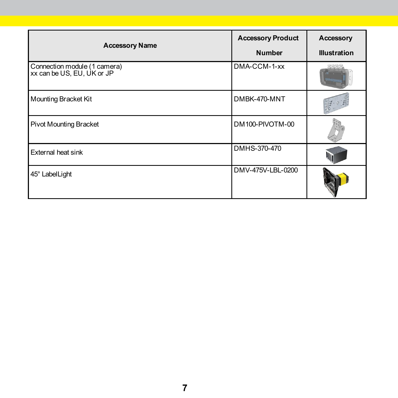| <b>Accessory Name</b>                                      | <b>Accessory Product</b><br><b>Number</b> | Accessory<br><b>Illustration</b> |
|------------------------------------------------------------|-------------------------------------------|----------------------------------|
| Connection module (1 camera)<br>xx can be US, EU, UK or JP | DMA-CCM-1-xx                              |                                  |
| Mounting Bracket Kit                                       | DMBK-470-MNT                              |                                  |
| Pivot Mounting Bracket                                     | DM100-PIVOTM-00                           |                                  |
| External heat sink                                         | DMHS-370-470                              |                                  |
| 45° Label Light                                            | DMV-475V-LBL-0200                         |                                  |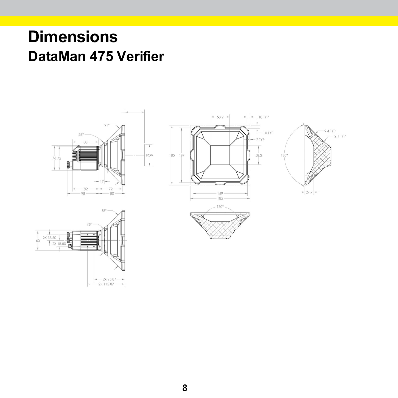### **Dimensions DataMan 475 Verifier**

 $-2x95.87$  $-2X115.87 - -$ 



 $-2.1$  TYP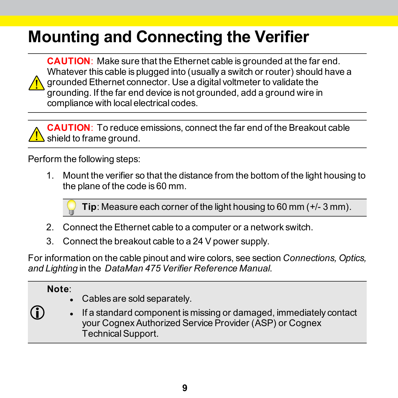# **Mounting and Connecting the Verifier**

**CAUTION**: Make sure that the Ethernet cable is grounded at the far end. Whatever this cable is plugged into (usually a switch or router) should have a grounded Ethernet connector. Use a digital voltmeter to validate the grounding. If the far end device is not grounded, add a ground wire in compliance with local electrical codes.



Perform the following steps:

1. Mount the verifier so that the distance from the bottom of the light housing to the plane of the code is 60 mm.

**Tip**: Measure each corner of the light housing to 60 mm (+/- 3 mm).

- 2. Connect the Ethernet cable to a computer or a network switch.
- 3. Connect the breakout cable to a 24 V power supply.

For information on the cable pinout and wire colors, see section *Connections, Optics, and Lighting* in the *DataMan 475 Verifier Reference Manual*.

#### **Note**:

n

- Cables are sold separately.
- If a standard component is missing or damaged, immediately contact your CognexAuthorized Service Provider (ASP) or Cognex TechnicalSupport.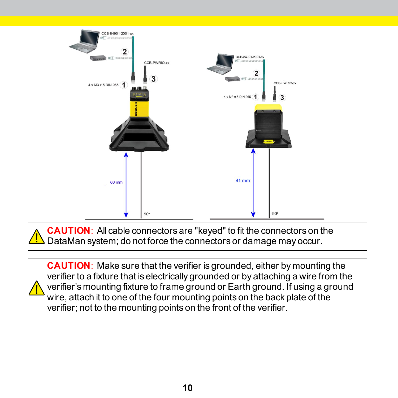

**CAUTION**: All cable connectors are "keyed" to fit the connectors on the  $\Delta$  DataMan system; do not force the connectors or damage may occur.

**CAUTION**: Make sure that the verifier is grounded, either by mounting the verifier to a fixture that is electrically grounded or by attaching a wire from the verifier's mounting fixture to frame ground or Earth ground. If using a ground wire, attach it to one of the four mounting points on the back plate of the verifier; not to the mounting points on the front of the verifier.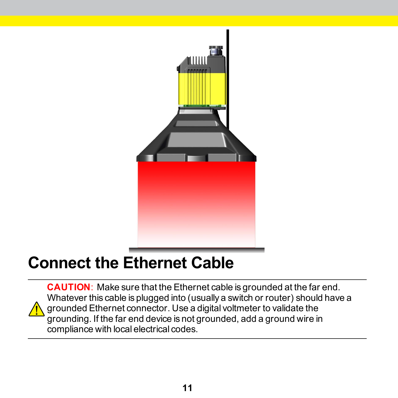

### **Connect the Ethernet Cable**

**CAUTION**: Make sure that the Ethernet cable is grounded at the far end. Whatever this cable is plugged into (usually a switch or router) should have a grounded Ethernet connector. Use a digital voltmeter to validate the grounding. If the far end device is not grounded, add a ground wire in compliance with local electrical codes.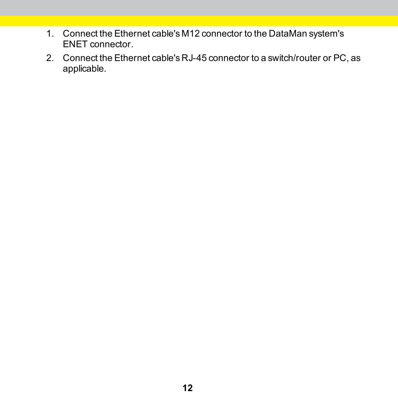- 1. Connect the Ethernet cable's M12 connector to the DataMan system's ENET connector.
- 2. Connect the Ethernet cable's RJ-45 connector to a switch/router or PC, as applicable.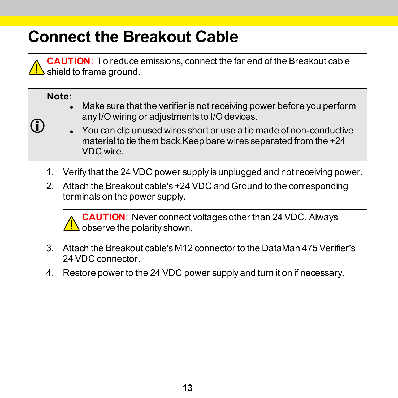### **Connect the Breakout Cable**

**CAUTION**: To reduce emissions, connect the far end of the Breakout cable  $\Delta$  shield to frame ground.

#### **Note**:

(i)

- Make sure that the verifier is not receiving power before you perform any I/O wiring or adjustments to I/O devices.
- You can clip unused wires short or use a tie made of non-conductive material to tie them back.Keep bare wires separated from the +24 VDC wire.
- 1. Verify that the 24 VDC power supply is unplugged and not receiving power.
- 2. Attach the Breakout cable's +24 VDC and Ground to the corresponding terminals on the power supply.

**CAUTION**: Never connect voltages other than 24 VDC. Always  $\Delta$  observe the polarity shown.

- 3. Attach the Breakout cable's M12 connector to the DataMan 475 Verifier's 24 VDC connector.
- 4. Restore power to the 24 VDC power supply and turn it on if necessary.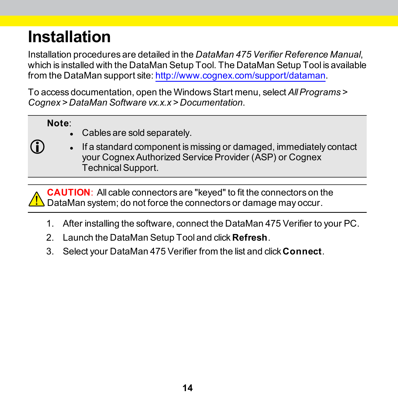# **Installation**

Installation procedures are detailed in the *DataMan 475 Verifier Reference Manual*, which is installed with the DataMan Setup Tool. The DataMan Setup Tool is available from the DataMan support site: [http://www.cognex.com/support/dataman.](http://www.cognex.com/support/dataman)

To access documentation, open the WindowsStart menu, select *AllPrograms > Cognex > DataMan Software vx.x.x > Documentation*.

**Note**:

- Cables are sold separately.
- ( i )
- If a standard component is missing or damaged, immediately contact your CognexAuthorized Service Provider (ASP) or Cognex TechnicalSupport.

**CAUTION**: All cable connectors are "keyed" to fit the connectors on the  $\Delta$  DataMan system; do not force the connectors or damage may occur.

- 1. After installing the software, connect the DataMan 475 Verifier to your PC.
- 2. Launch the DataMan Setup Tool and click **Refresh**.
- 3. Select your DataMan 475 Verifier from the list and click **Connect**.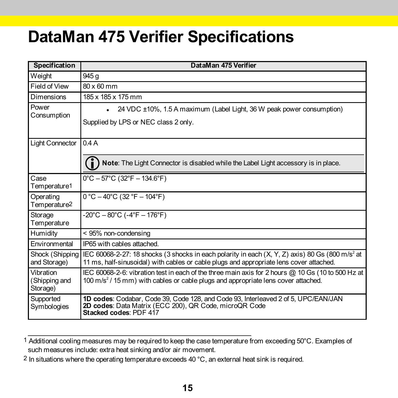### **DataMan 475 Verifier Specifications**

| <b>Specification</b>                   | DataMan 475 Verifier                                                                                                                                                                                     |
|----------------------------------------|----------------------------------------------------------------------------------------------------------------------------------------------------------------------------------------------------------|
| Weight                                 | 945 g                                                                                                                                                                                                    |
| Field of View                          | 80 x 60 mm                                                                                                                                                                                               |
| Dimensions                             | 185 x 185 x 175 mm                                                                                                                                                                                       |
| Power<br>Consumption                   | 24 VDC ±10%, 1.5 A maximum (Label Light, 36 W peak power consumption)<br>٠<br>Supplied by LPS or NEC class 2 only.                                                                                       |
| <b>Light Connector</b>                 | 0.4A                                                                                                                                                                                                     |
|                                        | Note: The Light Connector is disabled while the Label Light accessory is in place.                                                                                                                       |
| Case<br>Temperature1                   | $0^{\circ}$ C - 57 $^{\circ}$ C (32 $^{\circ}$ F - 134.6 $^{\circ}$ F)                                                                                                                                   |
| Operating<br>Temperature2              | $0 °C - 40 °C$ (32 °F - 104°F)                                                                                                                                                                           |
| Storage<br>Temperature                 | $-20^{\circ}$ C $-80^{\circ}$ C ( $-4^{\circ}$ F $-176^{\circ}$ F)                                                                                                                                       |
| Humidity                               | < 95% non-condensing                                                                                                                                                                                     |
| Environmental                          | IP65 with cables attached.                                                                                                                                                                               |
| Shock (Shipping<br>and Storage)        | IEC 60068-2-27: 18 shocks (3 shocks in each polarity in each $(X, Y, Z)$ axis) 80 Gs (800 m/s <sup>2</sup> at<br>11 ms, half-sinusoidal) with cables or cable plugs and appropriate lens cover attached. |
| Vibration<br>(Shipping and<br>Storage) | IEC 60068-2-6: vibration test in each of the three main axis for 2 hours @ 10 Gs (10 to 500 Hz at<br>$100 \text{ m/s}^2$ / 15 mm) with cables or cable plugs and appropriate lens cover attached.        |
| Supported<br>Symbologies               | 1D codes: Codabar, Code 39, Code 128, and Code 93, Interleaved 2 of 5, UPC/EAN/JAN<br>2D codes: Data Matrix (ECC 200), QR Code, microQR Code<br>Stacked codes: PDF 417                                   |

<sup>1</sup> Additional cooling measures may be required to keep the case temperature from exceeding 50°C. Examples of such measures include: extra heat sinking and/or air movement.

<sup>2</sup> In situations where the operating temperature exceeds 40 °C, an external heat sink is required.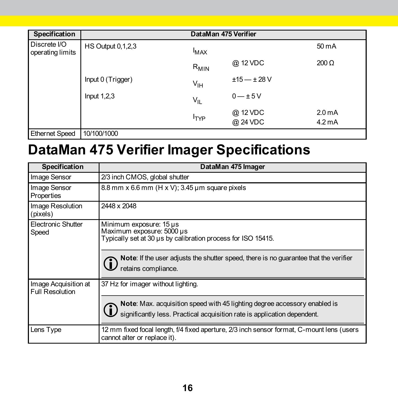| Specification                    |                          |                 | DataMan 475 Verifier |                    |
|----------------------------------|--------------------------|-----------------|----------------------|--------------------|
| Discrete I/O<br>operating limits | <b>HS Output 0,1,2,3</b> | <b>MAX</b>      |                      | 50 mA              |
|                                  |                          | $R_{MIN}$       | @ 12 VDC             | $200 \Omega$       |
|                                  | Input 0 (Trigger)        | $V_{\text{IH}}$ | $±15 - ±28$ V        |                    |
|                                  | Input $1,2,3$            | $V_{ L}$        | $0 - \pm 5V$         |                    |
|                                  |                          |                 | @ 12 VDC             | 2.0 <sub>m</sub> A |
|                                  |                          | <b>TYP</b>      | @ 24 VDC             | $4.2 \text{ mA}$   |
| <b>Ethernet Speed</b>            | 10/100/1000              |                 |                      |                    |

# **DataMan 475 Verifier Imager Specifications**

| Specification                                  | DataMan 475 Imager                                                                                                                                    |
|------------------------------------------------|-------------------------------------------------------------------------------------------------------------------------------------------------------|
| Image Sensor                                   | 2/3 inch CMOS, global shutter                                                                                                                         |
| Image Sensor<br>Properties                     | 8.8 mm x 6.6 mm (H x V); 3.45 µm square pixels                                                                                                        |
| Image Resolution<br>(pixels)                   | 2448 x 2048                                                                                                                                           |
| Electronic Shutter<br>Speed                    | Minimum exposure: 15 µs<br>Maximum exposure: 5000 µs<br>Typically set at 30 us by calibration process for ISO 15415.                                  |
|                                                | Note: If the user adjusts the shutter speed, there is no guarantee that the verifier<br>j)<br>retains compliance.                                     |
| Image Acquisition at<br><b>Full Resolution</b> | 37 Hz for imager without lighting.                                                                                                                    |
|                                                | Note: Max. acquisition speed with 45 lighting degree accessory enabled is<br>significantly less. Practical acquisition rate is application dependent. |
| Lens Type                                      | 12 mm fixed focal length, f/4 fixed aperture, 2/3 inch sensor format, C-mount lens (users<br>cannot alter or replace it).                             |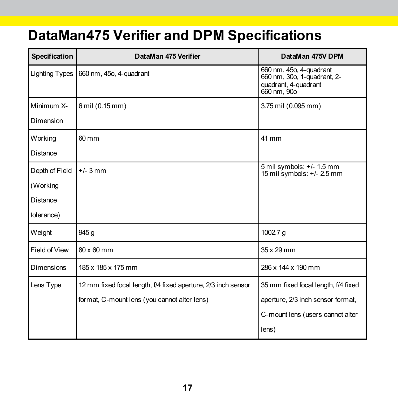### **DataMan475 Verifier and DPM Specifications**

| Specification  | DataMan 475 Verifier                                          | DataMan 475V DPM                                                                              |
|----------------|---------------------------------------------------------------|-----------------------------------------------------------------------------------------------|
| Lighting Types | 660 nm, 45o, 4-quadrant                                       | 660 nm, 45o, 4-quadrant<br>660 nm, 30o, 1-quadrant, 2-<br>quadrant, 4-quadrant<br>660 nm, 90o |
| Minimum X-     | 6 mil (0.15 mm)                                               | 3.75 mil (0.095 mm)                                                                           |
| Dimension      |                                                               |                                                                                               |
| Working        | 60 mm                                                         | 41 mm                                                                                         |
| Distance       |                                                               |                                                                                               |
| Depth of Field | $+/- 3$ mm                                                    | 5 mil symbols: +/- 1.5 mm<br>15 mil symbols: $+/- 2.5$ mm                                     |
| (Working       |                                                               |                                                                                               |
| Distance       |                                                               |                                                                                               |
| tolerance)     |                                                               |                                                                                               |
| Weight         | 945 g                                                         | 1002.7 g                                                                                      |
| Field of View  | 80 x 60 mm                                                    | 35 x 29 mm                                                                                    |
| Dimensions     | 185 x 185 x 175 mm                                            | 286 x 144 x 190 mm                                                                            |
| Lens Type      | 12 mm fixed focal length, f/4 fixed aperture, 2/3 inch sensor | 35 mm fixed focal length, f/4 fixed                                                           |
|                | format, C-mount lens (you cannot alter lens)                  | aperture, 2/3 inch sensor format,                                                             |
|                |                                                               | C-mount lens (users cannot alter                                                              |
|                |                                                               | lens)                                                                                         |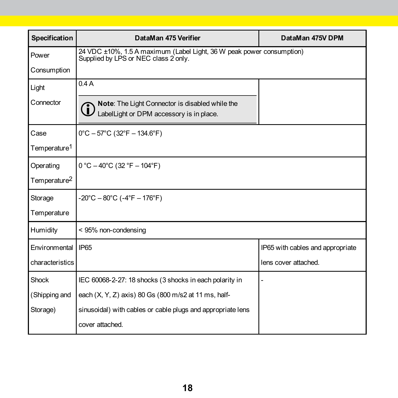| Specification            | DataMan 475 Verifier                                                                                          | DataMan 475V DPM                 |
|--------------------------|---------------------------------------------------------------------------------------------------------------|----------------------------------|
| Power                    | 24 VDC ±10%, 1.5 A maximum (Label Light, 36 W peak power consumption)<br>Supplied by LPS or NEC class 2 only. |                                  |
| Consumption              |                                                                                                               |                                  |
| Light                    | 0.4A                                                                                                          |                                  |
| Connector                | Note: The Light Connector is disabled while the<br>LabelLight or DPM accessory is in place.                   |                                  |
| Case                     | $0^{\circ}$ C - 57 $^{\circ}$ C (32 $^{\circ}$ F - 134.6 $^{\circ}$ F)                                        |                                  |
| Temperature <sup>1</sup> |                                                                                                               |                                  |
| Operating                | $0 °C - 40 °C$ (32 °F - 104°F)                                                                                |                                  |
| Temperature <sup>2</sup> |                                                                                                               |                                  |
| Storage                  | $-20^{\circ}$ C $-80^{\circ}$ C ( $-4^{\circ}$ F $-176^{\circ}$ F)                                            |                                  |
| Temperature              |                                                                                                               |                                  |
| Humidity                 | < 95% non-condensing                                                                                          |                                  |
| Environmental            | <b>IP65</b>                                                                                                   | IP65 with cables and appropriate |
| characteristics          |                                                                                                               | lens cover attached.             |
| Shock                    | IEC 60068-2-27: 18 shocks (3 shocks in each polarity in                                                       |                                  |
| (Shipping and            | each (X, Y, Z) axis) 80 Gs (800 m/s2 at 11 ms, half-                                                          |                                  |
| Storage)                 | sinusoidal) with cables or cable plugs and appropriate lens                                                   |                                  |
|                          | cover attached.                                                                                               |                                  |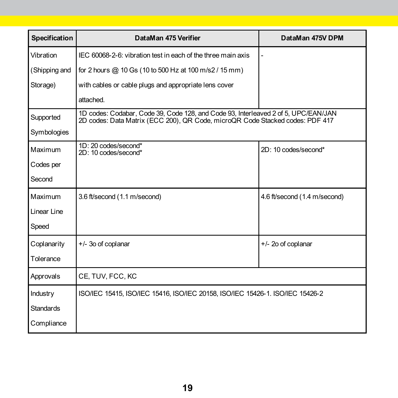| Specification    | DataMan 475 Verifier                                                                                                                                                | DataMan 475V DPM             |
|------------------|---------------------------------------------------------------------------------------------------------------------------------------------------------------------|------------------------------|
| Vibration        | IEC 60068-2-6: vibration test in each of the three main axis                                                                                                        |                              |
| (Shipping and    | for 2 hours @ 10 Gs (10 to 500 Hz at 100 m/s2 / 15 mm)                                                                                                              |                              |
| Storage)         | with cables or cable plugs and appropriate lens cover                                                                                                               |                              |
|                  | attached.                                                                                                                                                           |                              |
| Supported        | 1D codes: Codabar, Code 39, Code 128, and Code 93, Interleaved 2 of 5, UPC/EAN/JAN<br>2D codes: Data Matrix (ECC 200), QR Code, microQR Code Stacked codes: PDF 417 |                              |
| Symbologies      |                                                                                                                                                                     |                              |
| Maximum          | 1D: 20 codes/second*<br>2D: 10 codes/second*                                                                                                                        | 2D: 10 codes/second*         |
| Codes per        |                                                                                                                                                                     |                              |
| Second           |                                                                                                                                                                     |                              |
| Maximum          | 3.6 ft/second (1.1 m/second)                                                                                                                                        | 4.6 ft/second (1.4 m/second) |
| Linear Line      |                                                                                                                                                                     |                              |
| Speed            |                                                                                                                                                                     |                              |
| Coplanarity      | +/- 3o of coplanar                                                                                                                                                  | +/- 2o of coplanar           |
| Tolerance        |                                                                                                                                                                     |                              |
| Approvals        | CE, TUV, FCC, KC                                                                                                                                                    |                              |
| Industry         | ISO/IEC 15415, ISO/IEC 15416, ISO/IEC 20158, ISO/IEC 15426-1. ISO/IEC 15426-2                                                                                       |                              |
| <b>Standards</b> |                                                                                                                                                                     |                              |
| Compliance       |                                                                                                                                                                     |                              |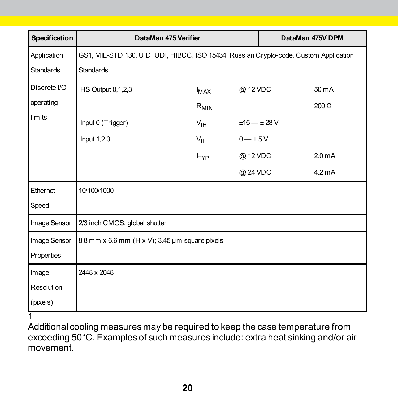| Specification    | DataMan 475 Verifier                                                                  |                  | DataMan 475V DPM |  |                    |
|------------------|---------------------------------------------------------------------------------------|------------------|------------------|--|--------------------|
| Application      | GS1, MIL-STD 130, UID, UDI, HIBCC, ISO 15434, Russian Crypto-code, Custom Application |                  |                  |  |                    |
| <b>Standards</b> | <b>Standards</b>                                                                      |                  |                  |  |                    |
| Discrete I/O     | <b>HS Output 0,1,2,3</b>                                                              | $I_{MAX}$        | @ 12 VDC         |  | 50 mA              |
| operating        |                                                                                       | $R_{MIN}$        |                  |  | $200 \Omega$       |
| limits           | Input 0 (Trigger)                                                                     | $V_{\text{IH}}$  | $±15 - ±28 V$    |  |                    |
|                  | Input $1,2,3$                                                                         | $V_{\parallel}$  | $0 - \pm 5V$     |  |                    |
|                  |                                                                                       | $I_{\text{TYP}}$ | @ 12 VDC         |  | 2.0 <sub>m</sub> A |
|                  |                                                                                       |                  | @ 24 VDC         |  | $4.2 \text{ mA}$   |
| Ethernet         | 10/100/1000                                                                           |                  |                  |  |                    |
| Speed            |                                                                                       |                  |                  |  |                    |
| Image Sensor     | 2/3 inch CMOS, global shutter                                                         |                  |                  |  |                    |
| Image Sensor     | 8.8 mm x 6.6 mm (H x V); 3.45 µm square pixels                                        |                  |                  |  |                    |
| Properties       |                                                                                       |                  |                  |  |                    |
| Image            | 2448 x 2048                                                                           |                  |                  |  |                    |
| Resolution       |                                                                                       |                  |                  |  |                    |
| (pixels)         |                                                                                       |                  |                  |  |                    |

1

Additional cooling measures may be required to keep the case temperature from exceeding 50°C. Examples of such measures include: extra heat sinking and/or air movement.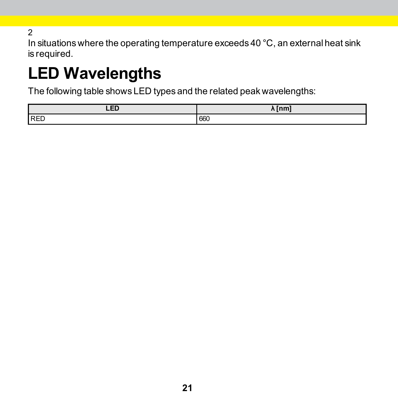2

In situations where the operating temperature exceeds 40 °C, an external heat sink is required.

# **LED Wavelengths**

The following table shows LED types and the related peak wavelengths:

| LED        | $\lambda$ [nm] |
|------------|----------------|
| <b>RED</b> | 660            |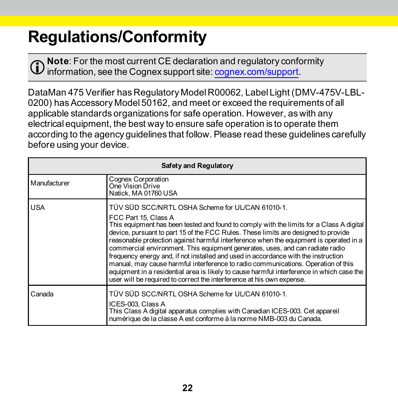# **Regulations/Conformity**

**Note**: For the most current CE declaration and regulatory conformity  $\mathbf U$  information, see the Cognex support site:  $\operatorname{cognex.} \overline{\operatorname{com/s} \operatorname{upport}}$ .

DataMan 475 Verifier has Regulatory Model R00062, Label Light (DMV-475V-LBL-0200) has Accessory Model 50162, and meet or exceed the requirements of all applicable standards organizations for safe operation. However, as with any electrical equipment, the best way to ensure safe operation is to operate them according to the agency guidelines that follow. Please read these guidelines carefully before using your device.

| Safety and Regulatory |                                                                                                                                                                                                                                                                                                                                                                                                                                                                                                                                                                                                                                                                                                                                                                                        |  |
|-----------------------|----------------------------------------------------------------------------------------------------------------------------------------------------------------------------------------------------------------------------------------------------------------------------------------------------------------------------------------------------------------------------------------------------------------------------------------------------------------------------------------------------------------------------------------------------------------------------------------------------------------------------------------------------------------------------------------------------------------------------------------------------------------------------------------|--|
| Manufacturer          | <b>Cognex Corporation</b><br>One Vision Drive<br>Natick. MA 01760 USA                                                                                                                                                                                                                                                                                                                                                                                                                                                                                                                                                                                                                                                                                                                  |  |
| <b>USA</b>            | TÜV SÜD SCC/NRTL OSHA Scheme for UL/CAN 61010-1.<br>FCC Part 15, Class A<br>This equipment has been tested and found to comply with the limits for a Class A digital<br>device, pursuant to part 15 of the FCC Rules. These limits are designed to provide<br>reasonable protection against harmful interference when the equipment is operated in a<br>commercial environment. This equipment generates, uses, and can radiate radio<br>frequency energy and, if not installed and used in accordance with the instruction<br>manual, may cause harmful interference to radio communications. Operation of this<br>equipment in a residential area is likely to cause harmful interference in which case the<br>user will be required to correct the interference at his own expense. |  |
| Canada                | TÜV SÜD SCC/NRTL OSHA Scheme for UL/CAN 61010-1.<br>ICES-003, Class A<br>This Class A digital apparatus complies with Canadian ICES-003. Cet appareil<br>numérique de la classe A est conforme à la norme NMB-003 du Canada.                                                                                                                                                                                                                                                                                                                                                                                                                                                                                                                                                           |  |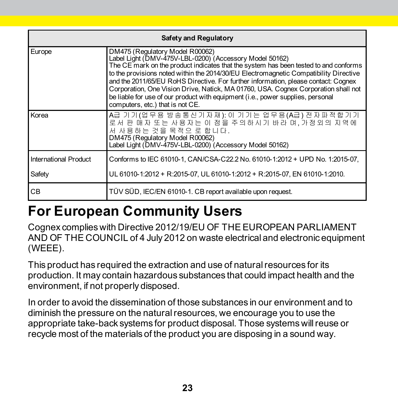| Safety and Regulatory |                                                                                                                                                                                                                                                                                                                                                                                                                                                                                                                                                                                |  |  |  |  |  |
|-----------------------|--------------------------------------------------------------------------------------------------------------------------------------------------------------------------------------------------------------------------------------------------------------------------------------------------------------------------------------------------------------------------------------------------------------------------------------------------------------------------------------------------------------------------------------------------------------------------------|--|--|--|--|--|
| Europe                | DM475 (Regulatory Model R00062)<br>Label Light (DMV-475V-LBL-0200) (Accessory Model 50162)<br>The CE mark on the product indicates that the system has been tested to and conforms<br>to the provisions noted within the 2014/30/EU Electromagnetic Compatibility Directive<br>and the 2011/65/EU RoHS Directive. For further information, please contact: Cognex<br>Corporation, One Vision Drive, Natick, MA 01760, USA. Cognex Corporation shall not<br>be liable for use of our product with equipment (i.e., power supplies, personal<br>computers, etc.) that is not CE. |  |  |  |  |  |
| Korea                 | A급 기기(업무용 방송통신기자재): 이 기기는 업무용(A급) 전자파적합기기<br>로서 판 매자 또는 사용자는 이 점을 주의하시기 바라 며. 가정외의 지역에<br>서 사용하는 것을 목적으 로 합니다.<br>DM475 (Regulatory Model R00062)<br>Label Light (DMV-475V-LBL-0200) (Accessory Model 50162)                                                                                                                                                                                                                                                                                                                                                                   |  |  |  |  |  |
| International Product | Conforms to IEC 61010-1, CAN/CSA-C22.2 No. 61010-1:2012 + UPD No. 1:2015-07.                                                                                                                                                                                                                                                                                                                                                                                                                                                                                                   |  |  |  |  |  |
| Safety                | UL 61010-1:2012 + R:2015-07, UL 61010-1:2012 + R:2015-07, EN 61010-1:2010.                                                                                                                                                                                                                                                                                                                                                                                                                                                                                                     |  |  |  |  |  |
| CВ                    | TÜV SÜD, IEC/EN 61010-1. CB report available upon request.                                                                                                                                                                                                                                                                                                                                                                                                                                                                                                                     |  |  |  |  |  |

### **For European Community Users**

Cognex complies with Directive 2012/19/EU OF THE EUROPEAN PARLIAMENT AND OF THE COUNCIL of 4 July 2012 on waste electrical and electronic equipment (WEEE).

This product has required the extraction and use of natural resources for its production. It may contain hazardous substances that could impact health and the environment, if not properly disposed.

In order to avoid the dissemination of those substances in our environment and to diminish the pressure on the naturalresources, we encourage you to use the appropriate take-back systems for product disposal. Those systems willreuse or recycle most of the materials of the product you are disposing in a sound way.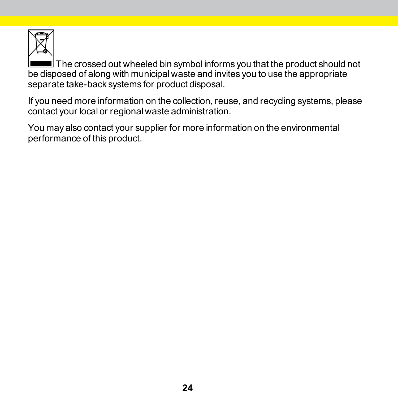

The crossed out wheeled bin symbol informs you that the product should not be disposed of along with municipal waste and invites you to use the appropriate separate take-back systems for product disposal.

If you need more information on the collection, reuse, and recycling systems, please contact your local or regional waste administration.

You may also contact your supplier for more information on the environmental performance of this product.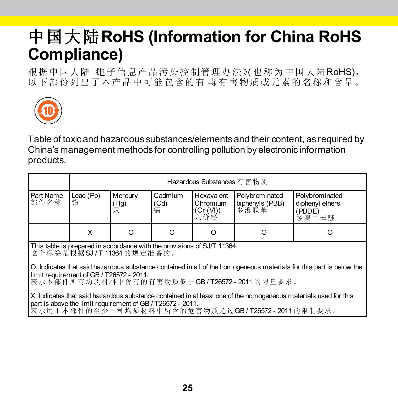### 中国大陆**RoHS (Information for China RoHS Compliance)**

根据中国大陆《电子信息产品污染控制管理办法》(也称为中国大陆RoHS), 以下部份列出了本产品中可能包含的有 毒有害物质或元素的名称和含量。



Table of toxic and hazardous substances/elements and their content, as required by China's management methods for controlling pollution by electronic information products.

|                                                                         | Hazardous Substances 有害物质 |                                               |                      |                                            |                                           |                                                      |  |  |
|-------------------------------------------------------------------------|---------------------------|-----------------------------------------------|----------------------|--------------------------------------------|-------------------------------------------|------------------------------------------------------|--|--|
| Part Name<br>部件名称                                                       | Lead (Pb)<br>铅            | Mercury<br>$^{(Hg)}_{\overline{\mathcal{R}}}$ | Cadmium<br>(Cd)<br>镉 | Hexavalent<br>Chromium<br>(Cr (VI))<br>六价铬 | Polybrominated<br>biphenyls (PBB)<br>多溴联苯 | Polybrominated<br>diphenyl ethers<br>(PBDE)<br>多溴二苯醚 |  |  |
|                                                                         | x                         | O                                             |                      |                                            | O                                         |                                                      |  |  |
| This table is prepared in accordance with the provisions of SJ/T 11364. |                           |                                               |                      |                                            |                                           |                                                      |  |  |

This table is prepared in accordance with the provisions of SJ/T 11364. 这个标签是根据SJ / T 11364 的规定准备的。

O: Indicates that said hazardous substance contained in all of the homogeneous materials for this part is below the<br>limit requirement of GB / T26572 - 2011.

表示本部件所有均质材料中含有的有害物质低于GB / T26572 - 2011 的限量要求。

X: Indicates that said hazardous substance contained in at least one of the homogeneous materials used for this<br>part is above the limit requirement of GB / T26572 - 2011.

表示用于本部件的至少一种均质材料中所含的危害物质超过GB / T26572 - 2011. 的限制要求。